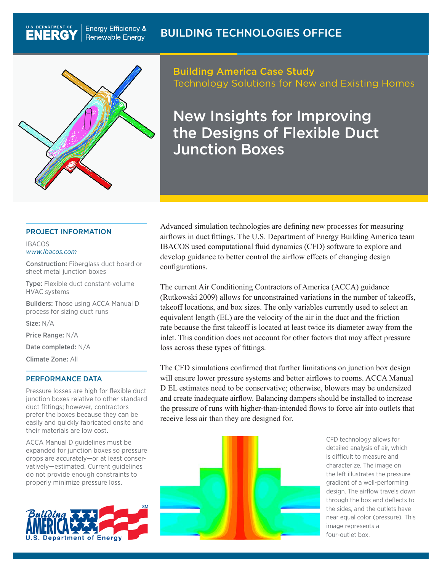

**Energy Efficiency &** 

**Renewable Energy** 

Building America Case Study Technology Solutions for New and Existing Homes

New Insights for Improving the Designs of Flexible Duct Junction Boxes

### PROJECT INFORMATION

#### IBACOS *[www.ibacos.com](http://www.ibacos.com)*

**U.S. DEPARTMENT OF** 

**ENERG** 

Construction: Fiberglass duct board or sheet metal junction boxes

Type: Flexible duct constant-volume HVAC systems

Builders: Those using ACCA Manual D process for sizing duct runs

Size: N/A

Price Range: N/A

Date completed: N/A

Climate Zone: All

### PERFORMANCE DATA

Pressure losses are high for flexible duct junction boxes relative to other standard duct fittings; however, contractors prefer the boxes because they can be easily and quickly fabricated onsite and their materials are low cost.

ACCA Manual D guidelines must be expanded for junction boxes so pressure drops are accurately—or at least conservatively—estimated. Current guidelines do not provide enough constraints to properly minimize pressure loss.



Advanced simulation technologies are defining new processes for measuring airflows in duct fittings. The U.S. Department of Energy Building America team IBACOS used computational fluid dynamics (CFD) software to explore and develop guidance to better control the airflow effects of changing design configurations.

The current Air Conditioning Contractors of America (ACCA) guidance (Rutkowski 2009) allows for unconstrained variations in the number of takeoffs, takeoff locations, and box sizes. The only variables currently used to select an equivalent length (EL) are the velocity of the air in the duct and the friction rate because the first takeoff is located at least twice its diameter away from the inlet. This condition does not account for other factors that may affect pressure loss across these types of fittings.

The CFD simulations confirmed that further limitations on junction box design will ensure lower pressure systems and better airflows to rooms. ACCA Manual D EL estimates need to be conservative; otherwise, blowers may be undersized and create inadequate airflow. Balancing dampers should be installed to increase the pressure of runs with higher-than-intended flows to force air into outlets that receive less air than they are designed for.



CFD technology allows for detailed analysis of air, which is difficult to measure and characterize. The image on the left illustrates the pressure gradient of a well-performing design. The airflow travels down through the box and deflects to the sides, and the outlets have near equal color (pressure). This image represents a four-outlet box.